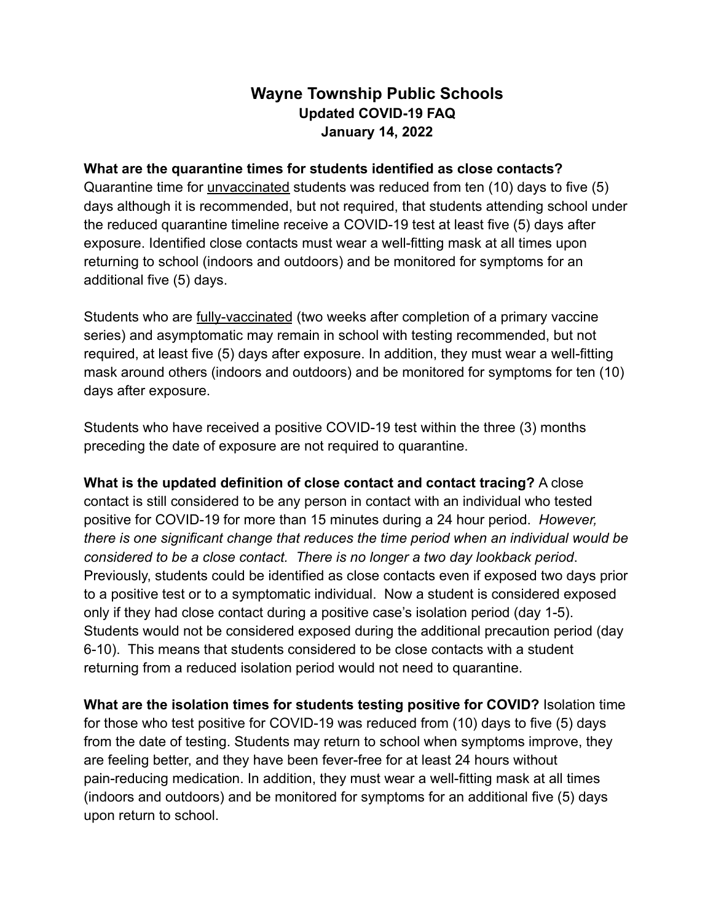# **Wayne Township Public Schools Updated COVID-19 FAQ January 14, 2022**

#### **What are the quarantine times for students identified as close contacts?**

Quarantine time for unvaccinated students was reduced from ten (10) days to five (5) days although it is recommended, but not required, that students attending school under the reduced quarantine timeline receive a COVID-19 test at least five (5) days after exposure. Identified close contacts must wear a well-fitting mask at all times upon returning to school (indoors and outdoors) and be monitored for symptoms for an additional five (5) days.

Students who are fully-vaccinated (two weeks after completion of a primary vaccine series) and asymptomatic may remain in school with testing recommended, but not required, at least five (5) days after exposure. In addition, they must wear a well-fitting mask around others (indoors and outdoors) and be monitored for symptoms for ten (10) days after exposure.

Students who have received a positive COVID-19 test within the three (3) months preceding the date of exposure are not required to quarantine.

**What is the updated definition of close contact and contact tracing?** A close contact is still considered to be any person in contact with an individual who tested positive for COVID-19 for more than 15 minutes during a 24 hour period. *However, there is one significant change that reduces the time period when an individual would be considered to be a close contact. There is no longer a two day lookback period*. Previously, students could be identified as close contacts even if exposed two days prior to a positive test or to a symptomatic individual. Now a student is considered exposed only if they had close contact during a positive case's isolation period (day 1-5). Students would not be considered exposed during the additional precaution period (day 6-10). This means that students considered to be close contacts with a student returning from a reduced isolation period would not need to quarantine.

**What are the isolation times for students testing positive for COVID?** Isolation time for those who test positive for COVID-19 was reduced from (10) days to five (5) days from the date of testing. Students may return to school when symptoms improve, they are feeling better, and they have been fever-free for at least 24 hours without pain-reducing medication. In addition, they must wear a well-fitting mask at all times (indoors and outdoors) and be monitored for symptoms for an additional five (5) days upon return to school.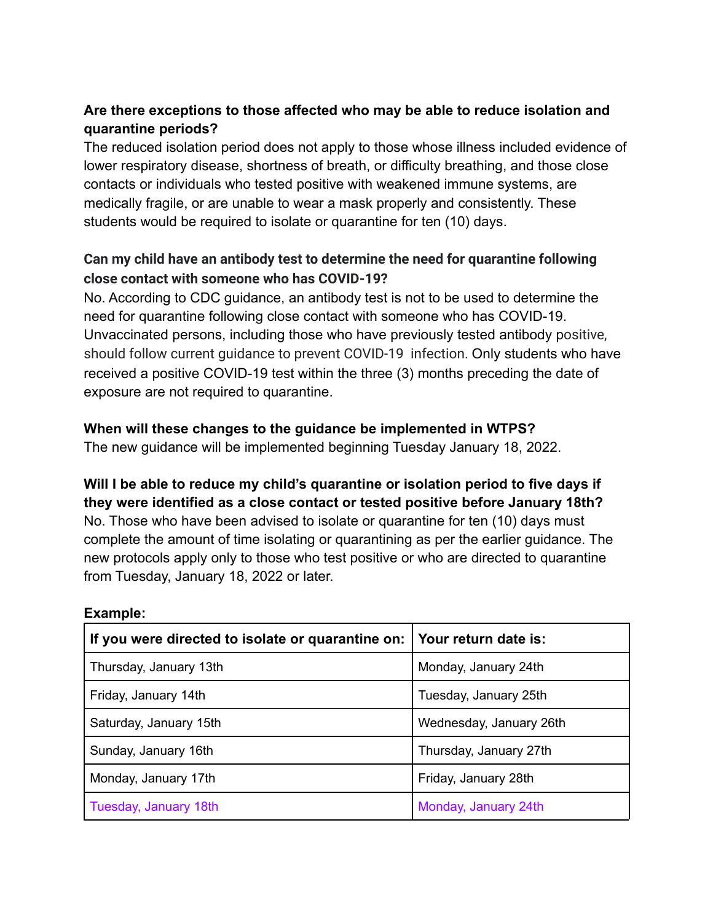# **Are there exceptions to those affected who may be able to reduce isolation and quarantine periods?**

The reduced isolation period does not apply to those whose illness included evidence of lower respiratory disease, shortness of breath, or difficulty breathing, and those close contacts or individuals who tested positive with weakened immune systems, are medically fragile, or are unable to wear a mask properly and consistently. These students would be required to isolate or quarantine for ten (10) days.

# **Can my child have an antibody test to determine the need for quarantine following close contact with someone who has COVID-19?**

No. According to CDC guidance, an antibody test is not to be used to determine the need for quarantine following close contact with someone who has COVID-19. Unvaccinated persons, including those who have previously tested antibody positive, should follow current guidance to prevent COVID-19 infection. Only students who have received a positive COVID-19 test within the three (3) months preceding the date of exposure are not required to quarantine.

## **When will these changes to the guidance be implemented in WTPS?**

The new guidance will be implemented beginning Tuesday January 18, 2022.

### **Will I be able to reduce my child's quarantine or isolation period to five days if they were identified as a close contact or tested positive before January 18th?** No. Those who have been advised to isolate or quarantine for ten (10) days must

complete the amount of time isolating or quarantining as per the earlier guidance. The new protocols apply only to those who test positive or who are directed to quarantine from Tuesday, January 18, 2022 or later.

| If you were directed to isolate or quarantine on: Your return date is: |                         |
|------------------------------------------------------------------------|-------------------------|
| Thursday, January 13th                                                 | Monday, January 24th    |
| Friday, January 14th                                                   | Tuesday, January 25th   |
| Saturday, January 15th                                                 | Wednesday, January 26th |
| Sunday, January 16th                                                   | Thursday, January 27th  |
| Monday, January 17th                                                   | Friday, January 28th    |
| Tuesday, January 18th                                                  | Monday, January 24th    |

#### **Example:**